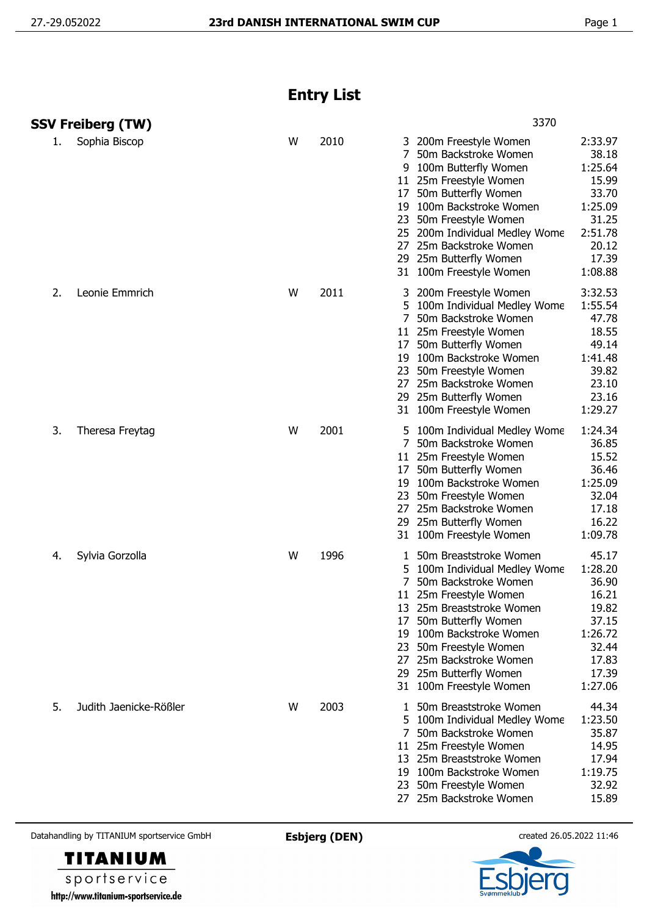## **Entry List**

|    | <b>SSV Freiberg (TW)</b> |   |      | 3370                                                                                                                                                                                                                                                                                                                                                                                                                                   |
|----|--------------------------|---|------|----------------------------------------------------------------------------------------------------------------------------------------------------------------------------------------------------------------------------------------------------------------------------------------------------------------------------------------------------------------------------------------------------------------------------------------|
| 1. | Sophia Biscop            | W | 2010 | 200m Freestyle Women<br>2:33.97<br>38.18<br>7<br>50m Backstroke Women<br>1:25.64<br>100m Butterfly Women<br>9<br>15.99<br>25m Freestyle Women<br>11<br>33.70<br>50m Butterfly Women<br>17<br>1:25.09<br>100m Backstroke Women<br>19<br>31.25<br>50m Freestyle Women<br>23<br>2:51.78<br>25 200m Individual Medley Wome<br>20.12<br>25m Backstroke Women<br>27<br>17.39<br>29 25m Butterfly Women<br>1:08.88<br>31 100m Freestyle Women |
| 2. | Leonie Emmrich           | W | 2011 | 3:32.53<br>200m Freestyle Women<br>1:55.54<br>5<br>100m Individual Medley Wome<br>47.78<br>7<br>50m Backstroke Women<br>18.55<br>11 25m Freestyle Women<br>49.14<br>50m Butterfly Women<br>17<br>1:41.48<br>19 100m Backstroke Women<br>39.82<br>23 50m Freestyle Women<br>23.10<br>27 25m Backstroke Women<br>23.16<br>29 25m Butterfly Women<br>1:29.27<br>31 100m Freestyle Women                                                   |
| 3. | Theresa Freytag          | W | 2001 | 1:24.34<br>100m Individual Medley Wome<br>50m Backstroke Women<br>36.85<br>15.52<br>11 25m Freestyle Women<br>36.46<br>17 50m Butterfly Women<br>1:25.09<br>100m Backstroke Women<br>19<br>32.04<br>23 50m Freestyle Women<br>27 25m Backstroke Women<br>17.18<br>16.22<br>29 25m Butterfly Women<br>1:09.78<br>31 100m Freestyle Women                                                                                                |
| 4. | Sylvia Gorzolla          | W | 1996 | 45.17<br>50m Breaststroke Women<br>1:28.20<br>5<br>100m Individual Medley Wome<br>50m Backstroke Women<br>36.90<br>16.21<br>11 25m Freestyle Women<br>19.82<br>13 25m Breaststroke Women<br>50m Butterfly Women<br>37.15<br>17<br>1:26.72<br>100m Backstroke Women<br>19<br>32.44<br>50m Freestyle Women<br>23<br>17.83<br>25m Backstroke Women<br>27<br>17.39<br>29 25m Butterfly Women<br>1:27.06<br>31 100m Freestyle Women         |
| 5. | Judith Jaenicke-Rößler   | W | 2003 | 50m Breaststroke Women<br>44.34<br>1:23.50<br>100m Individual Medley Wome<br>50m Backstroke Women<br>35.87<br>11 25m Freestyle Women<br>14.95<br>13 25m Breaststroke Women<br>17.94<br>1:19.75<br>19 100m Backstroke Women<br>32.92<br>50m Freestyle Women<br>23<br>27 25m Backstroke Women<br>15.89                                                                                                                                   |

Datahandling by TITANIUM sportservice GmbH **Esbjerg (DEN)** created 26.05.2022 11:46



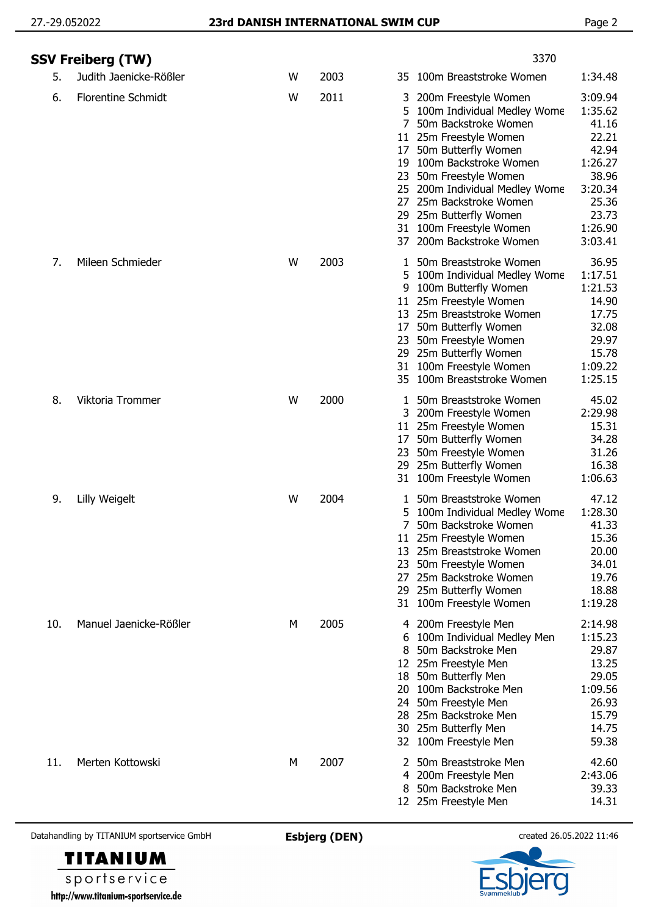|     | SSV Freiberg (TW)         |   |      | 3370                                                                                                                                                                                                                                                                                                                                                               |                                                                                                                      |
|-----|---------------------------|---|------|--------------------------------------------------------------------------------------------------------------------------------------------------------------------------------------------------------------------------------------------------------------------------------------------------------------------------------------------------------------------|----------------------------------------------------------------------------------------------------------------------|
| 5.  | Judith Jaenicke-Rößler    | W | 2003 | 35 100m Breaststroke Women                                                                                                                                                                                                                                                                                                                                         | 1:34.48                                                                                                              |
| 6.  | <b>Florentine Schmidt</b> | W | 2011 | 200m Freestyle Women<br>3<br>100m Individual Medley Wome<br>5.<br>50m Backstroke Women<br>7<br>11 25m Freestyle Women<br>50m Butterfly Women<br>17<br>19 100m Backstroke Women<br>50m Freestyle Women<br>23<br>200m Individual Medley Wome<br>25<br>25m Backstroke Women<br>27<br>29 25m Butterfly Women<br>31 100m Freestyle Women<br>200m Backstroke Women<br>37 | 3:09.94<br>1:35.62<br>41.16<br>22.21<br>42.94<br>1:26.27<br>38.96<br>3:20.34<br>25.36<br>23.73<br>1:26.90<br>3:03.41 |
| 7.  | Mileen Schmieder          | W | 2003 | 50m Breaststroke Women<br>1<br>100m Individual Medley Wome<br>5<br>100m Butterfly Women<br>9<br>11 25m Freestyle Women<br>13 25m Breaststroke Women<br>50m Butterfly Women<br>17<br>23 50m Freestyle Women<br>29 25m Butterfly Women<br>100m Freestyle Women<br>31<br>100m Breaststroke Women<br>35                                                                | 36.95<br>1:17.51<br>1:21.53<br>14.90<br>17.75<br>32.08<br>29.97<br>15.78<br>1:09.22<br>1:25.15                       |
| 8.  | Viktoria Trommer          | W | 2000 | 50m Breaststroke Women<br>1<br>200m Freestyle Women<br>11 25m Freestyle Women<br>50m Butterfly Women<br>17<br>23<br>50m Freestyle Women<br>25m Butterfly Women<br>29<br>31 100m Freestyle Women                                                                                                                                                                    | 45.02<br>2:29.98<br>15.31<br>34.28<br>31.26<br>16.38<br>1:06.63                                                      |
| 9.  | Lilly Weigelt             | W | 2004 | 50m Breaststroke Women<br>1<br>100m Individual Medley Wome<br>5.<br>7<br>50m Backstroke Women<br>11 25m Freestyle Women<br>25m Breaststroke Women<br>13<br>23<br>50m Freestyle Women<br>27<br>25m Backstroke Women<br>25m Butterfly Women<br>29<br>31 100m Freestyle Women                                                                                         | 47.12<br>1:28.30<br>41.33<br>15.36<br>20.00<br>34.01<br>19.76<br>18.88<br>1:19.28                                    |
| 10. | Manuel Jaenicke-Rößler    | M | 2005 | 4 200m Freestyle Men<br>100m Individual Medley Men<br>50m Backstroke Men<br>8<br>12 25m Freestyle Men<br>50m Butterfly Men<br>18<br>20 100m Backstroke Men<br>50m Freestyle Men<br>24<br>25m Backstroke Men<br>28.<br>30 25m Butterfly Men<br>32 100m Freestyle Men                                                                                                | 2:14.98<br>1:15.23<br>29.87<br>13.25<br>29.05<br>1:09.56<br>26.93<br>15.79<br>14.75<br>59.38                         |
| 11. | Merten Kottowski          | M | 2007 | 50m Breaststroke Men<br>200m Freestyle Men<br>4<br>50m Backstroke Men<br>8<br>12 25m Freestyle Men                                                                                                                                                                                                                                                                 | 42.60<br>2:43.06<br>39.33<br>14.31                                                                                   |

Datahandling by TITANIUM sportservice GmbH **Esbjerg (DEN)** created 26.05.2022 11:46



sportservice http://www.titanium-sportservice.de

**TITANIUM**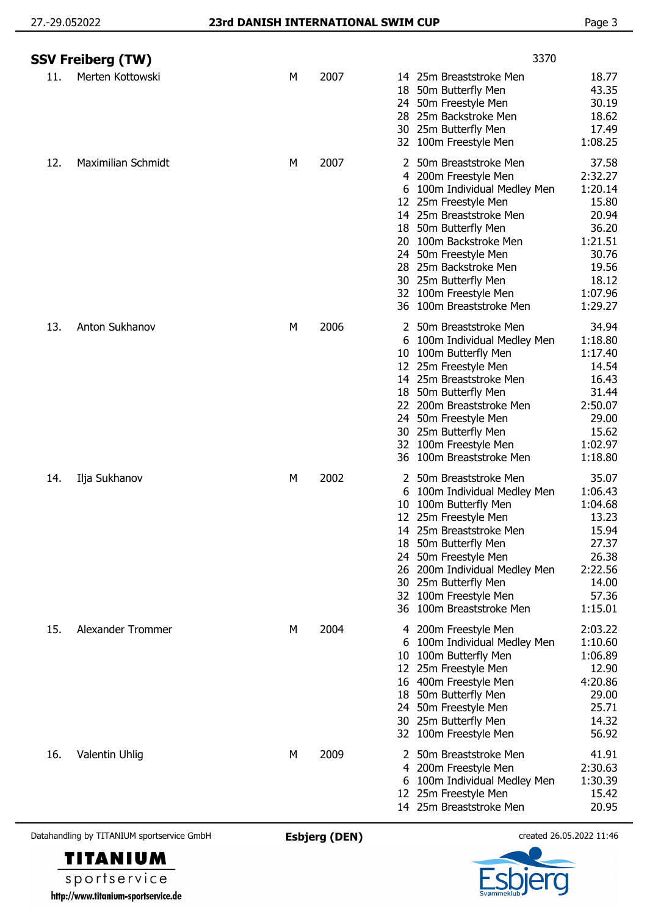|     | <b>SSV Freiberg (TW)</b>                   |   |                      |                                            | 3370                                                                                                                                                                                                                                                                                                      |                                                                                                                    |
|-----|--------------------------------------------|---|----------------------|--------------------------------------------|-----------------------------------------------------------------------------------------------------------------------------------------------------------------------------------------------------------------------------------------------------------------------------------------------------------|--------------------------------------------------------------------------------------------------------------------|
| 11. | Merten Kottowski                           | M | 2007                 | 18<br>24<br>28                             | 14 25m Breaststroke Men<br>50m Butterfly Men<br>50m Freestyle Men<br>25m Backstroke Men<br>30 25m Butterfly Men<br>32 100m Freestyle Men                                                                                                                                                                  | 18.77<br>43.35<br>30.19<br>18.62<br>17.49<br>1:08.25                                                               |
| 12. | <b>Maximilian Schmidt</b>                  | М | 2007                 | 20<br>28                                   | 50m Breaststroke Men<br>4 200m Freestyle Men<br>6 100m Individual Medley Men<br>12 25m Freestyle Men<br>14 25m Breaststroke Men<br>18 50m Butterfly Men<br>100m Backstroke Men<br>24 50m Freestyle Men<br>25m Backstroke Men<br>30 25m Butterfly Men<br>32 100m Freestyle Men<br>36 100m Breaststroke Men | 37.58<br>2:32.27<br>1:20.14<br>15.80<br>20.94<br>36.20<br>1:21.51<br>30.76<br>19.56<br>18.12<br>1:07.96<br>1:29.27 |
| 13. | Anton Sukhanov                             | M | 2006                 | 10<br>30<br>36                             | 2 50m Breaststroke Men<br>6 100m Individual Medley Men<br>100m Butterfly Men<br>12 25m Freestyle Men<br>14 25m Breaststroke Men<br>18 50m Butterfly Men<br>22 200m Breaststroke Men<br>24 50m Freestyle Men<br>25m Butterfly Men<br>32 100m Freestyle Men<br>100m Breaststroke Men                        | 34.94<br>1:18.80<br>1:17.40<br>14.54<br>16.43<br>31.44<br>2:50.07<br>29.00<br>15.62<br>1:02.97<br>1:18.80          |
| 14. | Ilja Sukhanov                              | М | 2002                 | 2<br>6<br>10<br>24<br>26<br>30<br>32<br>36 | 50m Breaststroke Men<br>100m Individual Medley Men<br>100m Butterfly Men<br>12 25m Freestyle Men<br>14 25m Breaststroke Men<br>18 50m Butterfly Men<br>50m Freestyle Men<br>200m Individual Medley Men<br>25m Butterfly Men<br>100m Freestyle Men<br>100m Breaststroke Men                                | 35.07<br>1:06.43<br>1:04.68<br>13.23<br>15.94<br>27.37<br>26.38<br>2:22.56<br>14.00<br>57.36<br>1:15.01            |
| 15. | Alexander Trommer                          | М | 2004                 | 6<br>10<br>24                              | 4 200m Freestyle Men<br>100m Individual Medley Men<br>100m Butterfly Men<br>12 25m Freestyle Men<br>16 400m Freestyle Men<br>18 50m Butterfly Men<br>50m Freestyle Men<br>30 25m Butterfly Men<br>32 100m Freestyle Men                                                                                   | 2:03.22<br>1:10.60<br>1:06.89<br>12.90<br>4:20.86<br>29.00<br>25.71<br>14.32<br>56.92                              |
| 16. | Valentin Uhlig                             | М | 2009                 | 2<br>4<br>6<br>12                          | 50m Breaststroke Men<br>200m Freestyle Men<br>100m Individual Medley Men<br>25m Freestyle Men<br>14 25m Breaststroke Men                                                                                                                                                                                  | 41.91<br>2:30.63<br>1:30.39<br>15.42<br>20.95                                                                      |
|     | Datahandling by TITANIUM sportservice GmbH |   | <b>Esbjerg (DEN)</b> |                                            |                                                                                                                                                                                                                                                                                                           | created 26.05.2022 11:46                                                                                           |